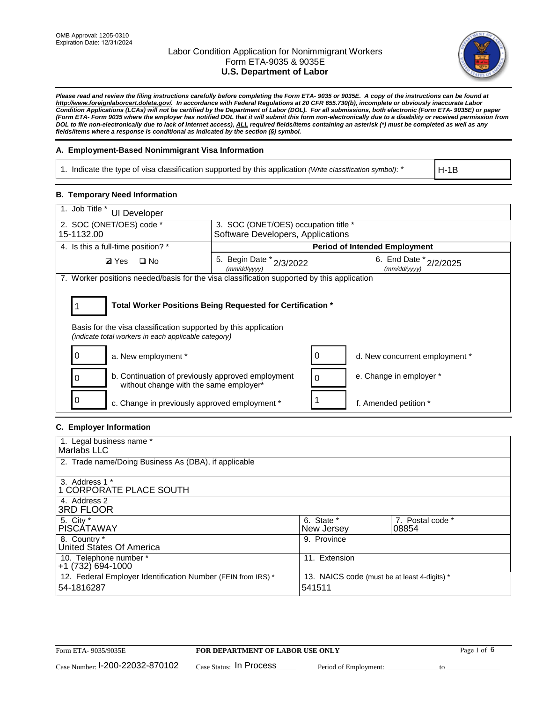

*Please read and review the filing instructions carefully before completing the Form ETA- 9035 or 9035E. A copy of the instructions can be found at http://www.foreignlaborcert.doleta.gov/. In accordance with Federal Regulations at 20 CFR 655.730(b), incomplete or obviously inaccurate Labor Condition Applications (LCAs) will not be certified by the Department of Labor (DOL). For all submissions, both electronic (Form ETA- 9035E) or paper (Form ETA- Form 9035 where the employer has notified DOL that it will submit this form non-electronically due to a disability or received permission from DOL to file non-electronically due to lack of Internet access), ALL required fields/items containing an asterisk (\*) must be completed as well as any fields/items where a response is conditional as indicated by the section (§) symbol.* 

### **A. Employment-Based Nonimmigrant Visa Information**

1. Indicate the type of visa classification supported by this application *(Write classification symbol)*: \*

H-1B

#### **B. Temporary Need Information**

| 1. Job Title *<br>UI Developer                                                                                          |                                                            |                                        |  |  |
|-------------------------------------------------------------------------------------------------------------------------|------------------------------------------------------------|----------------------------------------|--|--|
| 2. SOC (ONET/OES) code *<br>3. SOC (ONET/OES) occupation title *<br>Software Developers, Applications<br>15-1132.00     |                                                            |                                        |  |  |
|                                                                                                                         |                                                            |                                        |  |  |
| 4. Is this a full-time position? *                                                                                      | <b>Period of Intended Employment</b>                       |                                        |  |  |
| <b>Ø</b> Yes<br>$\square$ No                                                                                            | 5. Begin Date * 2/3/2022<br>(mm/dd/yyyy)                   | 6. End Date * 2/2/2025<br>(mm/dd/yyyy) |  |  |
| 7. Worker positions needed/basis for the visa classification supported by this application                              |                                                            |                                        |  |  |
| Basis for the visa classification supported by this application<br>(indicate total workers in each applicable category) | Total Worker Positions Being Requested for Certification * |                                        |  |  |
| 0<br>a. New employment *                                                                                                | 0                                                          | d. New concurrent employment *         |  |  |
| b. Continuation of previously approved employment<br>0<br>without change with the same employer*                        | $\Omega$                                                   | e. Change in employer *                |  |  |
| 0<br>c. Change in previously approved employment *                                                                      |                                                            | f. Amended petition *                  |  |  |

### **C. Employer Information**

| 1. Legal business name *                                                   |                                                        |                           |
|----------------------------------------------------------------------------|--------------------------------------------------------|---------------------------|
| Marlabs LLC                                                                |                                                        |                           |
| 2. Trade name/Doing Business As (DBA), if applicable                       |                                                        |                           |
| 3. Address 1 *<br>1 CORPORATE PLACE SOUTH<br>4. Address 2                  |                                                        |                           |
| <b>3RD FLOOR</b>                                                           |                                                        |                           |
| 5. City *<br><b>PISCÁTAWAY</b>                                             | 6. State *<br>New Jersey                               | 7. Postal code *<br>08854 |
| 8. Country *<br>United States Of America                                   | 9. Province                                            |                           |
| 10. Telephone number *<br>$+1(732)694-1000$                                | 11. Extension                                          |                           |
| 12. Federal Employer Identification Number (FEIN from IRS) *<br>54-1816287 | 13. NAICS code (must be at least 4-digits) *<br>541511 |                           |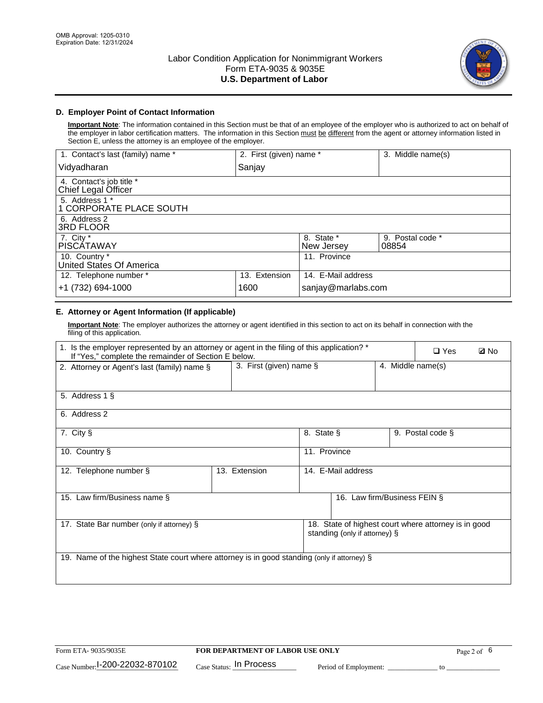

## **D. Employer Point of Contact Information**

**Important Note**: The information contained in this Section must be that of an employee of the employer who is authorized to act on behalf of the employer in labor certification matters. The information in this Section must be different from the agent or attorney information listed in Section E, unless the attorney is an employee of the employer.

| 1. Contact's last (family) name *               | 2. First (given) name * |                          | 3. Middle name(s)         |
|-------------------------------------------------|-------------------------|--------------------------|---------------------------|
| Vidyadharan                                     | Sanjay                  |                          |                           |
| 4. Contact's job title *<br>Chief Legal Officer |                         |                          |                           |
| 5. Address 1 *<br>1 CORPORATE PLACE SOUTH       |                         |                          |                           |
| 6. Address 2<br><b>3RD FLOOR</b>                |                         |                          |                           |
| 7. City *<br><b>PISCÁTAWAY</b>                  |                         | 8. State *<br>New Jersey | 9. Postal code *<br>08854 |
| 10. Country *<br>United States Of America       |                         | 11. Province             |                           |
| 12. Telephone number *                          | 13. Extension           | 14. E-Mail address       |                           |
| +1 (732) 694-1000                               | 1600                    | sanjay@marlabs.com       |                           |

## **E. Attorney or Agent Information (If applicable)**

**Important Note**: The employer authorizes the attorney or agent identified in this section to act on its behalf in connection with the filing of this application.

| 1. Is the employer represented by an attorney or agent in the filing of this application? *<br>If "Yes," complete the remainder of Section E below. |                         |              |                                                                                       |  | $\Box$ Yes        | <b>ØNo</b> |
|-----------------------------------------------------------------------------------------------------------------------------------------------------|-------------------------|--------------|---------------------------------------------------------------------------------------|--|-------------------|------------|
| 2. Attorney or Agent's last (family) name §                                                                                                         | 3. First (given) name § |              |                                                                                       |  | 4. Middle name(s) |            |
| 5. Address 1 §                                                                                                                                      |                         |              |                                                                                       |  |                   |            |
| 6. Address 2                                                                                                                                        |                         |              |                                                                                       |  |                   |            |
| 7. City §                                                                                                                                           |                         | 8. State §   |                                                                                       |  | 9. Postal code §  |            |
| 10. Country §                                                                                                                                       |                         | 11. Province |                                                                                       |  |                   |            |
| 12. Telephone number §                                                                                                                              | 13. Extension           |              | 14. E-Mail address                                                                    |  |                   |            |
| 15. Law firm/Business name §                                                                                                                        |                         |              | 16. Law firm/Business FEIN §                                                          |  |                   |            |
| 17. State Bar number (only if attorney) §                                                                                                           |                         |              | 18. State of highest court where attorney is in good<br>standing (only if attorney) § |  |                   |            |
| 19. Name of the highest State court where attorney is in good standing (only if attorney) §                                                         |                         |              |                                                                                       |  |                   |            |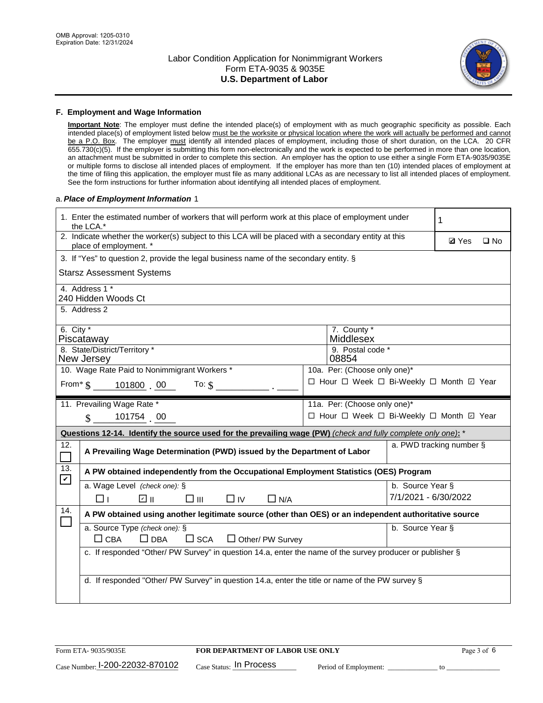

#### **F. Employment and Wage Information**

**Important Note**: The employer must define the intended place(s) of employment with as much geographic specificity as possible. Each intended place(s) of employment listed below must be the worksite or physical location where the work will actually be performed and cannot be a P.O. Box. The employer must identify all intended places of employment, including those of short duration, on the LCA. 20 CFR 655.730(c)(5). If the employer is submitting this form non-electronically and the work is expected to be performed in more than one location, an attachment must be submitted in order to complete this section. An employer has the option to use either a single Form ETA-9035/9035E or multiple forms to disclose all intended places of employment. If the employer has more than ten (10) intended places of employment at the time of filing this application, the employer must file as many additional LCAs as are necessary to list all intended places of employment. See the form instructions for further information about identifying all intended places of employment.

#### a.*Place of Employment Information* 1

|                                                                              | 1. Enter the estimated number of workers that will perform work at this place of employment under<br>the LCA.*                 |  | 1                                        |                      |                          |              |  |  |
|------------------------------------------------------------------------------|--------------------------------------------------------------------------------------------------------------------------------|--|------------------------------------------|----------------------|--------------------------|--------------|--|--|
|                                                                              | 2. Indicate whether the worker(s) subject to this LCA will be placed with a secondary entity at this<br>place of employment. * |  |                                          |                      |                          | $\square$ No |  |  |
|                                                                              | 3. If "Yes" to question 2, provide the legal business name of the secondary entity. §                                          |  |                                          |                      |                          |              |  |  |
|                                                                              | <b>Starsz Assessment Systems</b>                                                                                               |  |                                          |                      |                          |              |  |  |
|                                                                              | 4. Address 1 *<br>240 Hidden Woods Ct                                                                                          |  |                                          |                      |                          |              |  |  |
|                                                                              | 5. Address 2                                                                                                                   |  |                                          |                      |                          |              |  |  |
|                                                                              | 6. City $*$<br>7. County *<br>Middlesex<br>Piscataway                                                                          |  |                                          |                      |                          |              |  |  |
|                                                                              | 8. State/District/Territory *<br>New Jersey                                                                                    |  | 9. Postal code *<br>08854                |                      |                          |              |  |  |
| 10. Wage Rate Paid to Nonimmigrant Workers *<br>10a. Per: (Choose only one)* |                                                                                                                                |  |                                          |                      |                          |              |  |  |
|                                                                              | □ Hour □ Week □ Bi-Weekly □ Month □ Year<br>From* \$101800 00<br>To: $$$                                                       |  |                                          |                      |                          |              |  |  |
|                                                                              | 11. Prevailing Wage Rate *<br>11a. Per: (Choose only one)*                                                                     |  |                                          |                      |                          |              |  |  |
|                                                                              | 101754 00<br>$\mathbf{\$}$                                                                                                     |  | □ Hour □ Week □ Bi-Weekly □ Month ☑ Year |                      |                          |              |  |  |
|                                                                              | Questions 12-14. Identify the source used for the prevailing wage (PW) (check and fully complete only one): *                  |  |                                          |                      |                          |              |  |  |
| 12.                                                                          | A Prevailing Wage Determination (PWD) issued by the Department of Labor                                                        |  |                                          |                      | a. PWD tracking number § |              |  |  |
| 13.                                                                          | A PW obtained independently from the Occupational Employment Statistics (OES) Program                                          |  |                                          |                      |                          |              |  |  |
| $\blacktriangledown$                                                         | a. Wage Level (check one): §                                                                                                   |  |                                          | b. Source Year §     |                          |              |  |  |
|                                                                              | ☑ ⊪<br>$\square$ $\square$<br>$\square$ IV<br>$\Box$ N/A<br>□⊥                                                                 |  |                                          | 7/1/2021 - 6/30/2022 |                          |              |  |  |
| 14.                                                                          | A PW obtained using another legitimate source (other than OES) or an independent authoritative source                          |  |                                          |                      |                          |              |  |  |
|                                                                              | a. Source Type (check one): §<br>b. Source Year §<br>$\Box$ CBA<br>$\Box$ DBA<br>$\square$ SCA<br>$\Box$ Other/ PW Survey      |  |                                          |                      |                          |              |  |  |
|                                                                              | c. If responded "Other/ PW Survey" in question 14.a, enter the name of the survey producer or publisher §                      |  |                                          |                      |                          |              |  |  |
|                                                                              | d. If responded "Other/ PW Survey" in question 14.a, enter the title or name of the PW survey §                                |  |                                          |                      |                          |              |  |  |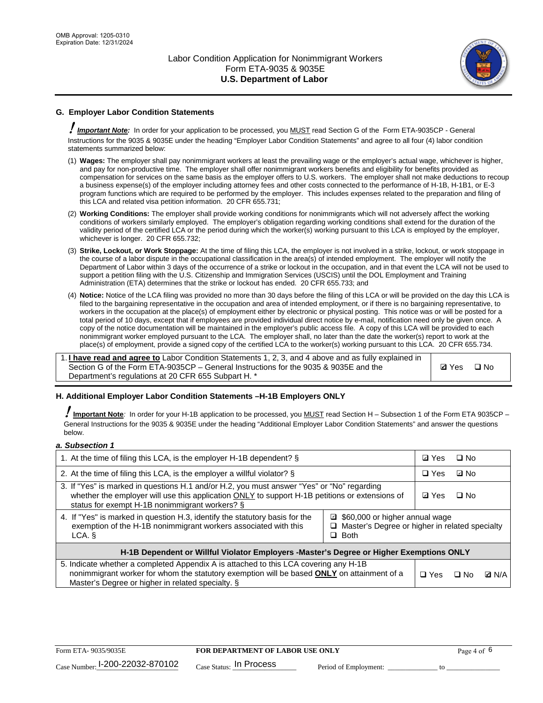

## **G. Employer Labor Condition Statements**

! *Important Note:* In order for your application to be processed, you MUST read Section G of the Form ETA-9035CP - General Instructions for the 9035 & 9035E under the heading "Employer Labor Condition Statements" and agree to all four (4) labor condition statements summarized below:

- (1) **Wages:** The employer shall pay nonimmigrant workers at least the prevailing wage or the employer's actual wage, whichever is higher, and pay for non-productive time. The employer shall offer nonimmigrant workers benefits and eligibility for benefits provided as compensation for services on the same basis as the employer offers to U.S. workers. The employer shall not make deductions to recoup a business expense(s) of the employer including attorney fees and other costs connected to the performance of H-1B, H-1B1, or E-3 program functions which are required to be performed by the employer. This includes expenses related to the preparation and filing of this LCA and related visa petition information. 20 CFR 655.731;
- (2) **Working Conditions:** The employer shall provide working conditions for nonimmigrants which will not adversely affect the working conditions of workers similarly employed. The employer's obligation regarding working conditions shall extend for the duration of the validity period of the certified LCA or the period during which the worker(s) working pursuant to this LCA is employed by the employer, whichever is longer. 20 CFR 655.732;
- (3) **Strike, Lockout, or Work Stoppage:** At the time of filing this LCA, the employer is not involved in a strike, lockout, or work stoppage in the course of a labor dispute in the occupational classification in the area(s) of intended employment. The employer will notify the Department of Labor within 3 days of the occurrence of a strike or lockout in the occupation, and in that event the LCA will not be used to support a petition filing with the U.S. Citizenship and Immigration Services (USCIS) until the DOL Employment and Training Administration (ETA) determines that the strike or lockout has ended. 20 CFR 655.733; and
- (4) **Notice:** Notice of the LCA filing was provided no more than 30 days before the filing of this LCA or will be provided on the day this LCA is filed to the bargaining representative in the occupation and area of intended employment, or if there is no bargaining representative, to workers in the occupation at the place(s) of employment either by electronic or physical posting. This notice was or will be posted for a total period of 10 days, except that if employees are provided individual direct notice by e-mail, notification need only be given once. A copy of the notice documentation will be maintained in the employer's public access file. A copy of this LCA will be provided to each nonimmigrant worker employed pursuant to the LCA. The employer shall, no later than the date the worker(s) report to work at the place(s) of employment, provide a signed copy of the certified LCA to the worker(s) working pursuant to this LCA. 20 CFR 655.734.

1. **I have read and agree to** Labor Condition Statements 1, 2, 3, and 4 above and as fully explained in Section G of the Form ETA-9035CP – General Instructions for the 9035 & 9035E and the Department's regulations at 20 CFR 655 Subpart H. \*

**Ø**Yes ロNo

### **H. Additional Employer Labor Condition Statements –H-1B Employers ONLY**

!**Important Note***:* In order for your H-1B application to be processed, you MUST read Section H – Subsection 1 of the Form ETA 9035CP – General Instructions for the 9035 & 9035E under the heading "Additional Employer Labor Condition Statements" and answer the questions below.

#### *a. Subsection 1*

| 1. At the time of filing this LCA, is the employer H-1B dependent? §                                                                                                                                                                                               | ⊡ Yes | $\Box$ No |           |              |
|--------------------------------------------------------------------------------------------------------------------------------------------------------------------------------------------------------------------------------------------------------------------|-------|-----------|-----------|--------------|
| 2. At the time of filing this LCA, is the employer a willful violator? $\S$                                                                                                                                                                                        |       |           | ⊡ No      |              |
| 3. If "Yes" is marked in questions H.1 and/or H.2, you must answer "Yes" or "No" regarding<br>whether the employer will use this application ONLY to support H-1B petitions or extensions of<br>status for exempt H-1B nonimmigrant workers? §                     |       |           | $\Box$ No |              |
| 4. If "Yes" is marked in question H.3, identify the statutory basis for the<br>□ \$60,000 or higher annual wage<br>exemption of the H-1B nonimmigrant workers associated with this<br>$\Box$ Master's Degree or higher in related specialty<br>$\Box$ Both<br>LCA. |       |           |           |              |
| H-1B Dependent or Willful Violator Employers -Master's Degree or Higher Exemptions ONLY                                                                                                                                                                            |       |           |           |              |
| 5. Indicate whether a completed Appendix A is attached to this LCA covering any H-1B<br>nonimmigrant worker for whom the statutory exemption will be based <b>ONLY</b> on attainment of a<br>Master's Degree or higher in related specialty. §                     |       |           | ⊡ No      | <b>D</b> N/A |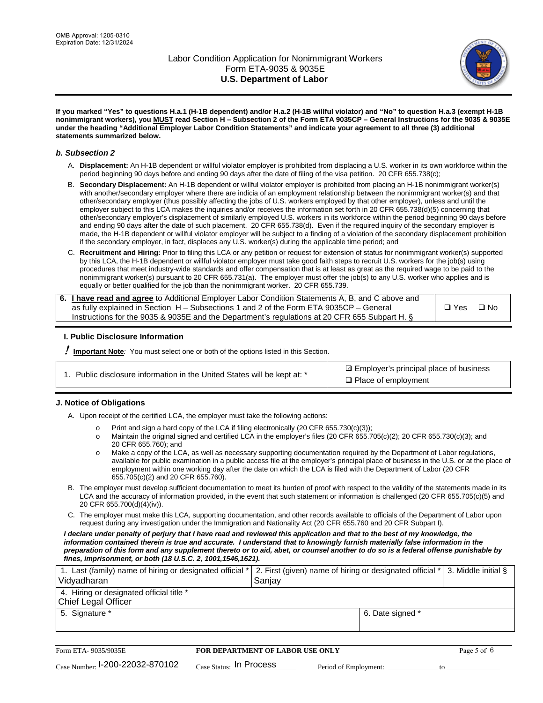

**If you marked "Yes" to questions H.a.1 (H-1B dependent) and/or H.a.2 (H-1B willful violator) and "No" to question H.a.3 (exempt H-1B nonimmigrant workers), you MUST read Section H – Subsection 2 of the Form ETA 9035CP – General Instructions for the 9035 & 9035E under the heading "Additional Employer Labor Condition Statements" and indicate your agreement to all three (3) additional statements summarized below.**

#### *b. Subsection 2*

- A. **Displacement:** An H-1B dependent or willful violator employer is prohibited from displacing a U.S. worker in its own workforce within the period beginning 90 days before and ending 90 days after the date of filing of the visa petition. 20 CFR 655.738(c);
- B. **Secondary Displacement:** An H-1B dependent or willful violator employer is prohibited from placing an H-1B nonimmigrant worker(s) with another/secondary employer where there are indicia of an employment relationship between the nonimmigrant worker(s) and that other/secondary employer (thus possibly affecting the jobs of U.S. workers employed by that other employer), unless and until the employer subject to this LCA makes the inquiries and/or receives the information set forth in 20 CFR 655.738(d)(5) concerning that other/secondary employer's displacement of similarly employed U.S. workers in its workforce within the period beginning 90 days before and ending 90 days after the date of such placement. 20 CFR 655.738(d). Even if the required inquiry of the secondary employer is made, the H-1B dependent or willful violator employer will be subject to a finding of a violation of the secondary displacement prohibition if the secondary employer, in fact, displaces any U.S. worker(s) during the applicable time period; and
- C. **Recruitment and Hiring:** Prior to filing this LCA or any petition or request for extension of status for nonimmigrant worker(s) supported by this LCA, the H-1B dependent or willful violator employer must take good faith steps to recruit U.S. workers for the job(s) using procedures that meet industry-wide standards and offer compensation that is at least as great as the required wage to be paid to the nonimmigrant worker(s) pursuant to 20 CFR 655.731(a). The employer must offer the job(s) to any U.S. worker who applies and is equally or better qualified for the job than the nonimmigrant worker. 20 CFR 655.739.

| 6. I have read and agree to Additional Employer Labor Condition Statements A, B, and C above and |       |           |
|--------------------------------------------------------------------------------------------------|-------|-----------|
| as fully explained in Section H – Subsections 1 and 2 of the Form ETA 9035CP – General           | □ Yes | $\Box$ No |
| Instructions for the 9035 & 9035E and the Department's regulations at 20 CFR 655 Subpart H. §    |       |           |

### **I. Public Disclosure Information**

! **Important Note***:* You must select one or both of the options listed in this Section.

| 1. Public disclosure information in the United States will be kept at: * |  |  |  |  |  |  |  |
|--------------------------------------------------------------------------|--|--|--|--|--|--|--|
|--------------------------------------------------------------------------|--|--|--|--|--|--|--|

**sqrt** Employer's principal place of business □ Place of employment

### **J. Notice of Obligations**

A. Upon receipt of the certified LCA, the employer must take the following actions:

- o Print and sign a hard copy of the LCA if filing electronically (20 CFR 655.730(c)(3));<br>
Maintain the original signed and certified LCA in the employer's files (20 CFR 655.7
- Maintain the original signed and certified LCA in the employer's files (20 CFR 655.705(c)(2); 20 CFR 655.730(c)(3); and 20 CFR 655.760); and
- o Make a copy of the LCA, as well as necessary supporting documentation required by the Department of Labor regulations, available for public examination in a public access file at the employer's principal place of business in the U.S. or at the place of employment within one working day after the date on which the LCA is filed with the Department of Labor (20 CFR 655.705(c)(2) and 20 CFR 655.760).
- B. The employer must develop sufficient documentation to meet its burden of proof with respect to the validity of the statements made in its LCA and the accuracy of information provided, in the event that such statement or information is challenged (20 CFR 655.705(c)(5) and 20 CFR 655.700(d)(4)(iv)).
- C. The employer must make this LCA, supporting documentation, and other records available to officials of the Department of Labor upon request during any investigation under the Immigration and Nationality Act (20 CFR 655.760 and 20 CFR Subpart I).

*I declare under penalty of perjury that I have read and reviewed this application and that to the best of my knowledge, the*  information contained therein is true and accurate. I understand that to knowingly furnish materially false information in the *preparation of this form and any supplement thereto or to aid, abet, or counsel another to do so is a federal offense punishable by fines, imprisonment, or both (18 U.S.C. 2, 1001,1546,1621).*

| 1. Last (family) name of hiring or designated official *   2. First (given) name of hiring or designated official *   3. Middle initial §<br>Vidyadharan | Saniav           |  |
|----------------------------------------------------------------------------------------------------------------------------------------------------------|------------------|--|
| 4. Hiring or designated official title *<br>Chief Legal Officer                                                                                          |                  |  |
| 5. Signature *                                                                                                                                           | 6. Date signed * |  |

| Form ETA-9035/9035E                         | FOR DEPARTMENT OF LABOR USE ONLY   |                       |  |
|---------------------------------------------|------------------------------------|-----------------------|--|
| $_{\text{Case Number:}}$ I-200-22032-870102 | $_{\rm Case~S status:}$ In Process | Period of Employment: |  |